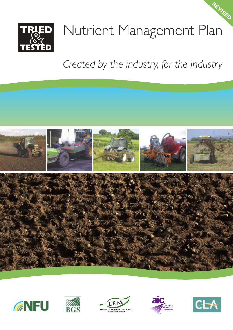

# Nutrient Management Plan **REVISED**

*Created by the industry, for the industry*











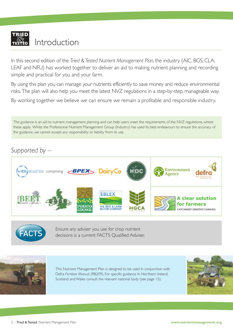

In this second edition of the *Tried &Tested Nutrient Management Plan*, the industry (AIC, BGS,CLA, LEAF and NFU) has worked together to deliver an aid to making nutrient planning and recording simple and practical for you and your farm.

By using this plan you can manage your nutrients efficiently to save money and reduce environmental risks. The plan will also help you meet the latest NVZ regulations in a step-by-step, manageable way.

By working together we believe we can ensure we remain a profitable and responsible industry.

The guidance is an aid to nutrient management planning and can help users meet the requirements of the NVZ regulations, where these apply. Whilst the Professional Nutrient Management Group (Industry) has used its best endeavours to ensure the accuracy of the guidance, we cannot accept any responsibility or liability from its use.

# *Supported by –*





Ensure any adviser you use for crop nutrient decisions is a current FACTS Qualified Adviser.



This Nutrient Management Plan is designed to be used in conjunction with Defra *Fertiliser Manual* (RB209). For specific guidance In Northern Ireland, Scotland and Wales consult the relevant national body (see page 15).

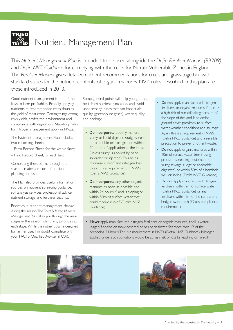

# Nutrient Management Plan

This *Nutrient Management Plan* is intended to be used alongside the *Defra Fertiliser Manual (RB209)* and *Defra NVZ Guidance* for complying with the rules for Nitrate Vulnerable Zones in England. The *Fertiliser Manual* gives detailed nutrient recommendations for crops and grass together with standard values for the nutrient contents of organic manures. NVZ rules described in this plan are those introduced in 2013.

Good nutrient management is one of the keys to farm profitability. Broadly, applying nutrients at recommended rates doubles the yield of most crops. Getting things wrong risks yields, profits, the environment and compliance with regulations. Statutory rules for nitrogen management apply in NVZs.

The Nutrient Management Plan includes two recording sheets:

- Farm Record Sheet, for the whole farm;
- Field Record Sheet, for each field.

Completing these forms through the season creates a record of nutrient planning and use.

The Plan also provides useful information sources on nutrient spreading guidance, soil analysis services, professional advice, nutrient storage and fertiliser security.

Priorities in nutrient management change during the season.The *Tried &Tested Nutrient Management Plan* takes you through the main stages in the season, identifying priorities at each stage. While this nutrient plan is designed for farmer use, if in doubt complete with your FACTS Qualified Adviser (FQA).

Some general points will help you get the best from nutrients you apply and avoid unnecessary losses that can impact air quality (greenhouse gases), water quality and ecology:

- Do incorporate poultry manure, slurry or liquid digested sludge spread onto stubble or bare ground within 24 hours of application at the latest (unless slurry is applied by band spreader or injected).This helps minimise run-off and nitrogen loss to air. It is a requirement in NVZs (Defra NVZ Guidance).
- Do incorporate any other organic manures as soon as possible and within 24 hours if land is sloping or within 50m of surface water that could receive run-off (Defra NVZ Guidance).
- Do not apply manufactured nitrogen fertilisers, or organic manures, if there is a high risk of run-off, taking account of the slope of the land, land drains, ground cover, proximity to surface water, weather conditions and soil type. Again, this is a requirement in NVZs (Defra NVZ Guidance) and a sensible precaution to prevent nutrient waste.
- Do not apply organic manures within 10m of surface water (6m if using precision spreading equipment for slurry,sewage sludge or anaerobic digestate) or within 50m of a borehole, well or spring. (Defra NVZ Guidance).
- Do not apply manufactured nitrogen fertilisers within 2m of surface water (Defra NVZ Guidance) or any fertilisers within 2m of the centre of a hedgerow or ditch (Cross-compliance requirement).
- Never apply manufactured nitrogen fertilisers, or organic manures, if soil is waterlogged, flooded or snow-covered or has been frozen for more than 12 of the preceding 24 hours.This is a requirement in NVZs (Defra NVZ Guidance). Nitrogen applied under such conditions would be at high risk of loss by leaching or run-off.



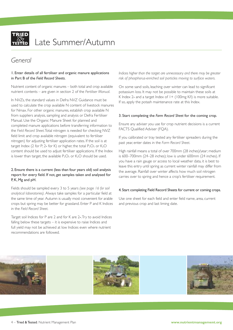

# Late Summer/Autumn

# *General*

#### 1. Enter details of all fertiliser and organic manure applications in Part B of the *Field Record Sheets*.

Nutrient content of organic manures – both total and crop available nutrient contents – are given in section 2 of the *Fertiliser Manual*.

In NVZs, the standard values in Defra NVZ Guidance must be used to calculate the crop available N content of livestock manures for Nmax. For other organic manures, establish crop available N from suppliers analysis, sampling and analysis or Defra Fertiliser Manual. Use the Organic Manure Sheet for planned and completed manure applications before transferring information to the *Field Record Sheet*.Total nitrogen is needed for checking NVZ field limit and crop available nitrogen (equivalent to fertiliser nitrogen) for adjusting fertiliser application rates. If the soil is at target Index (2 for P; 2- for K) or higher, the total  $P_2O_5$  or  $K_2O$ content should be used to adjust fertiliser applications. If the Index is lower than target, the available  $P_2O_5$  or  $K_2O$  should be used.

#### 2. Ensure there is a current (less than four years old) soil analysis report for every field. If not, get samples taken and analysed for P, K, Mg and pH.

Fields should be sampled every 3 to 5 years *(see page 16 for soil analytical laboratories)*. Always take samples for a particular field at the same time of year. Autumn is usually most convenient for arable crops but spring may be better for grassland. Enter P and K Indices in the *Field Record Sheet*.

Target soil Indices for P are 2 and for K are 2-.Try to avoid Indices falling below these targets – it is expensive to raise Indices and full yield may not be achieved at low Indices even where nutrient recommendations are followed.

*Indices higher than the target are unnecessary and there may be greater risk of phosphorus-enriched soil particles moving to surface waters.*

On some sand soils, leaching over winter can lead to significant potassium loss. It may not be possible to maintain these soils at K Index 2- and a target Index of  $I + (100mg K/I)$  is more suitable. If so, apply the potash maintenance rate at this Index.

#### 3. Start completing the *Farm Record Sheet* for the coming crop.

Ensure any adviser you use for crop nutrient decisions is a current FACTS Qualified Adviser (FQA).

If you calibrated or tray tested any fertiliser spreaders during the past year, enter dates in the *Farm Record Sheet*.

High rainfall means a total of over 700mm (28 inches)/year; medium is 600–700mm (24–28 inches); low is under 600mm (24 inches). If you have a rain gauge or access to local weather data, it is best to leave this entry until spring as current winter rainfall may differ from the average. Rainfall over winter affects how much soil nitrogen carries over to spring and hence a crop's fertiliser requirement.

#### 4. Start completing Field Record Sheets for current or coming crops.

Use one sheet for each field and enter field name, area, current and previous crop and last liming date.

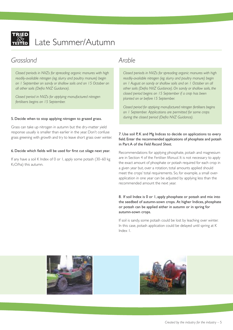

# Late Summer/Autumn

# *Grassland*

*Closed periods in NVZs for spreading organic manures with high readily-available nitrogen (eg. slurry and poultry manure) begin on 1 September on sandy or shallow soils and on 15 October on all other soils (Defra NVZ Guidance).*

*Closed period in NVZs for applying manufactured nitrogen fertilisers begins on 15 September.*

#### 5. Decide when to stop applying nitrogen to grazed grass.

Grass can take up nitrogen in autumn but the dry-matter yield response usually is smaller than earlier in the year. Don't confuse grass greening with growth and try to leave short grass over winter.

#### 6. Decide which fields will be used for first cut silage next year.

If any have a soil K Index of 0 or 1, apply some potash (30–60 kg K2O/ha) this autumn.

# *Arable*

*Closed periods in NVZs for spreading organic manures with high readily-available nitrogen (eg. slurry and poultry manure) begin on 1 August on sandy or shallow soils and on 1 October on all other soils (Defra NVZ Guidance). On sandy or shallow soils, the closed period begins on 15 September if a crop has been planted on or before 15 September.*

*Closed period for applying manufactured nitrogen fertilisers begins on 1 September. Applications are permitted for some crops during the closed period (Defra NVZ Guidance).*

#### 7. Use soil P, K and Mg Indices to decide on applications to every field. Enter the recommended applications of phosphate and potash in Part A of the *Field Record Sheet*.

Recommendations for applying phosphate, potash and magnesium are in Section 4 of the *Fertiliser Manual*. It is not necessary to apply the exact amount of phosphate or potash required for each crop in a given year but, over a rotation, total amounts applied should meet the crops' total requirements. So, for example, a small overapplication in one year can be adjusted by applying less than the recommended amount the next year.

#### 8. If soil Index is 0 or 1, apply phosphate or potash and mix into the seedbed of autumn-sown crops. At higher Indices, phosphate or potash can be applied either in autumn or in spring for autumn-sown crops.

If soil is sandy, some potash could be lost by leaching over winter. In this case, potash application could be delayed until spring at K Index 1.

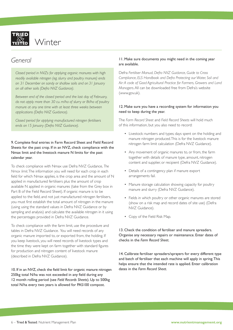

# *General*

*Closed period in NVZs for applying organic manures with high readily available nitrogen (eg. slurry and poultry manure) ends on 31 December on sandy or shallow soils and on 31 January on all other soils (Defra NVZ Guidance).*

*Between end of the closed period and the last day of February, do not apply more than 30 cu. m/ha of slurry or 8t/ha of poultry manure at any one time with at least three weeks between applications (Defra NVZ Guidance).*

*Closed period for applying manufactured nitrogen fertilisers ends on 15 January (Defra NVZ Guidance).*

#### 9. Complete final entries in Farm Record Sheet and Field Record Sheets for the past crop. If in an NVZ, check compliance with the Nmax limit and the livestock manure N limits for the past calendar year.

To check compliance with Nmax use Defra NVZ Guidance, *The Nmax limit*.The information you will need for each crop in each field for which Nmax applies, is the crop area and the amount of N applied in manufactured fertilisers plus the amount of crop available N applied in organic manures (take from the Grey box in Part B of the Field Record Sheet). If organic manure is to be applied to the field, and not just manufactured nitrogen fertilisers, you must first establish the total amount of nitrogen in the manure (using using the standard values in Defra NVZ Guidance or by sampling and analysis) and calculate the available nitrogen in it using the percentages provided in Defra NVZ Guidance.

To check compliance with the farm limit, use the procedure and tables in Defra NVZ Guidance. You will need records of any organic manure imported to, or exported from, the holding. If you keep livestock, you will need records of livestock types and the time they were kept on farm together with standard figures for production and nitrogen content of livestock manure (described in Defra NVZ Guidance).

10. If in an NVZ, check the field limit for organic manure nitrogen 250kg total N/ha was not exceeded in any field during any 12 month rolling period (see *Field Records Sheets*). Up to 500kg total N/ha every two years is allowed for PAS100 compost.

#### 11. Make sure documents you might need in the coming year are available.

Defra *Fertiliser Manual, Defra NVZ Guidance*, *Guide to Cross Compliance*, *ELS Handbook and Defra Protecting our Water, Soil and Air:A code of Good Agricultural Practice for Farmers, Growers and Land Managers*.All can be downloaded free from Defra's website (www.gov.uk).

#### 12. Make sure you have a recording system for information you need to keep during the year.

The *Farm Record Sheet* and *Field Record Sheets* will hold much of this information, but you also need to record:

- Livestock: numbers and types; days spent on the holding and manure nitrogen produced.This is for the livestock manure nitrogen farm limit calculation (Defra NVZ Guidance).
- Any movement of organic manures to, or from, the farm together with details of manure type, amount, nitrogen content and supplier, or recipient (Defra NVZ Guidance).
- Details of a contingency plan if manure export arrangements fail.
- Manure storage calculation showing capacity for poultry manure and slurry (Defra NVZ Guidance).
- Fields in which poultry or other organic manures are stored (show on a risk map and record dates of site use) (Defra NVZ Guidance).
- Copy of the Field Risk Map.

13. Check the condition of fertiliser and manure spreaders. Organise any necessary repairs or maintenance. Enter dates of checks in the *Farm Record Sheet*.

14. Calibrate fertiliser spreaders/sprayers for every different type and batch of fertiliser that each machine will apply in spring.This helps ensure that the intended rate is applied. Enter calibration dates in the *Farm Record Sheet*.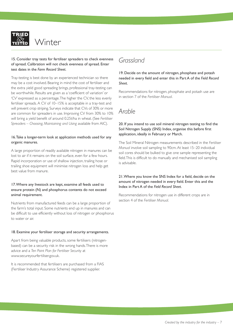

#### 15. Consider tray tests for fertiliser spreaders to check evenness of spread. Calibration will not check evenness of spread. Enter test dates in the *Farm Record Sheet*.

Tray-testing is best done by an experienced technician so there may be a cost involved. Bearing in mind the cost of fertiliser and the extra yield good spreading brings, professional tray-testing can be worthwhile. Results are given as a 'coefficient of variation' or 'CV' expressed as a percentage.The higher the CV, the less evenly fertiliser spreads. A CV of 10–15% is acceptable in a tray-test and will prevent crop striping. Surveys indicate that CVs of 30% or more are common for spreaders in use. Improving CV from 30% to 10% will bring a yield benefit of around 0.25t/ha in wheat. (See *Fertiliser Spreaders – Choosing, Maintaining and Using* available from AIC).

#### 16.Take a longer-term look at application methods used for any organic manures.

A large proportion of readily available nitrogen in manures can be lost to air if it remains on the soil surface, even for a few hours. Rapid incorporation or use of shallow injection, trailing hose or trailing shoe equipment will minimise nitrogen loss and help get best value from manure.

#### 17.Where any livestock are kept, examine all feeds used to ensure protein (N) and phosphorus contents do not exceed animal requirement.

Nutrients from manufactured feeds can be a large proportion of the farm's total input. Some nutrients end up in manures and can be difficult to use efficiently without loss of nitrogen or phosphorus to water or air.

#### 18. Examine your fertiliser storage and security arrangements.

Apart from being valuable products, some fertilisers (nitrogenbased) can be a security risk in the wrong hands.There is more advice and a *Ten Point Plan for Fertiliser Security* at www.secureyourfertiliser.gov.uk.

It is recommended that fertilisers are purchased from a FIAS (Fertiliser Industry Assurance Scheme) registered supplier.

# *Grassland*

19. Decide on the amount of nitrogen, phosphate and potash needed in every field and enter this in Part A of the *Field Record Sheet*.

Recommendations for nitrogen, phosphate and potash use are in section 7 of the *Fertiliser Manual*.

# *Arable*

#### 20. If you intend to use soil mineral nitrogen testing to find the Soil Nitrogen Supply (SNS) Index, organise this before first application, ideally in February or March.

The Soil Mineral Nitrogen measurements described in the *Fertiliser Manual* involve soil sampling to 90cm.At least 15–20 individual soil cores should be bulked to give one sample representing the field.This is difficult to do manually and mechanised soil sampling is advisable.

#### 21.Where you know the SNS Index for a field, decide on the amount of nitrogen needed in every field. Enter this and the Index in Part A of the *Field Record Sheet*.

Recommendations for nitrogen use in different crops are in section 4 of the *Fertiliser Manual*.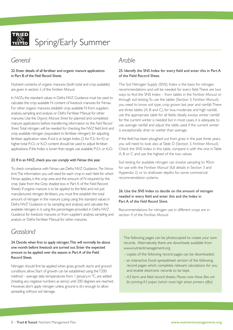

Spring/Early Summer

# *General*

22. Enter details of all fertiliser and organic manure applications in Part B of the *Field Record Sheets*.

Nutrient contents of organic manures (both total and crop available) are given in section 2 of the *Fertiliser Manual*.

In NVZs,the standard values in Defra NVZ Guidance must be used to calculate the crop available N content of livestock manures for Nmax. For other organic manures, establish crop available N from suppliers analysis, sampling and analysis or Defra Fertiliser Manual for other manures.Use the *Organic Manure Sheet* for planned and completed manure applications before transferring information to the *Field Record Sheet.*Total nitrogen will be needed for checking the NVZ field limit and crop available nitrogen (equivalent to fertiliser nitrogen) for adjusting fertiliser application rates. If soil is at target Index (2 for P, 2- for K) or higher, total  $P_2O_5$  or  $K_2O$  content should be used to adjust fertiliser applications. If the Index is lower than target, use available  $P_2O_5$  or  $K_2O$ .

#### 23. If in an NVZ, check you can comply with Nmax this year.

To check compliance with Nmax use Defra NVZ Guidance, *The Nmax limit*.The information you will need for each crop in each field for which Nmax applies, is the crop area and the amount of N required by the crop (take from the Grey shaded box in Part A of the Field Record Sheet). If organic manure is to be applied to the field, and not just manufactured nitrogen fertilisers, you must first establish the total amount of nitrogen in the manure (using using the standard values in Defra NVZ Guidance or by sampling and analysis) and calculate the available nitrogen in it using the percentages provided in Defra NVZ Guidance for livestock manures or from supplier's analysis, sampling and analysis or Defra Fertiliser Manual for other manures.

# *Arable*

#### 25. Identify the SNS Index for every field and enter this in Part A of the Field Record Sheet.

The Soil Nitrogen Supply (SNS) Index is the basis for nitrogen recommendations and will be needed for every field.There are two ways to find the SNS Index – from tables in the *Fertiliser Manual* or through soil testing.To use the tables (Section 3, *Fertiliser Manual*), you need to know soil type, crop grown last year and rainfall.There are three tables (A, B and C), for low, moderate and high rainfall, use the appropriate table for all fields. Ideally, excess winter rainfall for the current winter is needed but in most cases, it is adequate to use average rainfall and adjust the table used if the current winter is exceptionally drier or wetter than average.

If the field has been ploughed out from grass in the past three years, you will need to look also atTable D (Section 3, *Fertiliser Manual*). Check the SNS Index in this table, compare it with the one inTable A, B or C and use the highest of the two values.

Soil testing for available nitrogen can involve sampling to 90cm for use with the *Fertiliser Manual* (full details in Section 3 and Appendix 2) or to shallower depths for some commercial recommendation systems.

#### 26. Use the SNS Index to decide on the amount of nitrogen needed in every field and enter this and the Index in Part A of the *Field Record Sheet*.

Recommendations for nitrogen use in different crops are in section 4 of the *Fertiliser Manual*.

# *Grassland*

24.Decide when first to apply nitrogen.This will normally be about one month before livestock are turned out. Enter the expected amount to be applied over the season in PartA of the Field Record Sheet.

Nitrogen should first be applied when grass growth starts and ground conditions allow. Start of growth can be established using theT200 method – average daily temperatures from 1 January, in °C, are added (treating any negative numbers as zeros) until 200 degrees are reached. However, don't apply nitrogen unless ground is dry enough to allow spreading without soil damage.

The following pages can be photocopied to create your own records. Alternatively, there are downloads available from www.nutrientmanagement.org

- copies of the following record pages can be downloaded.
- an interactive Excel spreadsheet version of the following record pages which completes relevant calculations for you and enable electronic records to be kept.
- A3 farm and field record sheets. *Please note these files are for printing A3 paper (which most high street printers offer).*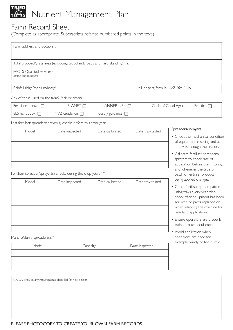# Nutrient Management Plan

# Farm Record Sheet

(Complete as appropriate. Superscripts refer to numbered points in the text.)

| Farm address and occupier:                                 |                                                                            |                          |                                      |
|------------------------------------------------------------|----------------------------------------------------------------------------|--------------------------|--------------------------------------|
|                                                            |                                                                            |                          |                                      |
|                                                            | Total cropped/grass area (excluding woodland, roads and hard standing) ha: |                          |                                      |
| FACTS Qualified Adviser: <sup>3</sup><br>(name and number) |                                                                            |                          |                                      |
|                                                            |                                                                            |                          |                                      |
| Rainfall (high/medium/low): <sup>3</sup>                   |                                                                            |                          | All, or part, farm in NVZ: Yes / No  |
| Any of these used on the farm? (tick or enter):            |                                                                            |                          |                                      |
| Fertiliser Manual $\Box$                                   | PLANET $\Box$                                                              | MANNER-NPK $\Box$        | Code of Good Agricultural Practice [ |
| ELS handbook $\Box$                                        | $NVZ$ Guidance $\Box$                                                      | Industry guidance $\Box$ |                                      |

Last fertiliser spreader/sprayer(s) checks before this crop year:

| Model | Date inspected | Date calibrated | Date tray-tested |
|-------|----------------|-----------------|------------------|
|       |                |                 |                  |
|       |                |                 |                  |
|       |                |                 |                  |
|       |                |                 |                  |
|       |                |                 |                  |

Fertiliser spreader/sprayer(s) checks during this crop year: 14, 15

| Model | Date inspected | Date calibrated | Date tray-tested |
|-------|----------------|-----------------|------------------|
|       |                |                 |                  |
|       |                |                 |                  |
|       |                |                 |                  |
|       |                |                 |                  |
|       |                |                 |                  |
|       |                |                 |                  |
|       |                |                 |                  |

Manure/slurry spreader(s):<sup>16</sup>

| Model | Capacity | Date inspected |
|-------|----------|----------------|
|       |          |                |
|       |          |                |
|       |          |                |

Notes (include any requirements identified for next season):

#### Spreaders/sprayers

- Check the mechanical condition of equipment in spring and at intervals through the season.
- Calibrate fertiliser spreaders/ sprayers to check rate of application before use in spring and whenever the type or batch of fertiliser product being applied changes.
- Check fertiliser spread pattern using trays every year.Also, check after equipment has been serviced or parts replaced or when adapting the machine for headland applications.
- Ensure operators are properly trained to use equipment.
- Avoid application when conditions are poor, for example, windy or too humid.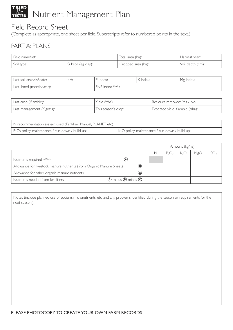

# Field Record Sheet

(Complete as appropriate, one sheet per field. Superscripts refer to numbered points in the text.)

# PART A: PLANS

| 'Field name/ref: |                    | Total area (ha):   | Harvest year:    |
|------------------|--------------------|--------------------|------------------|
| Soil type:       | Subsoil (eg clay): | Cropped area (ha): | Soil depth (cm): |

| Last soil analysis <sup>2</sup> date: | DH: | ' P Index:            | K Index: | ' Mg Index: I |
|---------------------------------------|-----|-----------------------|----------|---------------|
| Last limed (month/year):              |     | $SNS$ Index $21,26$ : |          |               |

| Last crop (if arable):      | 'Yield (t/ha):      | Residues removed: Yes / No       |
|-----------------------------|---------------------|----------------------------------|
| Last management (if grass): | This season's crop: | Expected yield if arable (t/ha): |

| N recommendation system used (Fertiliser Manual, PLANET etc):            |                                                             |
|--------------------------------------------------------------------------|-------------------------------------------------------------|
| P <sub>2</sub> O <sub>5</sub> policy: maintenance / run-down / build-up: | K <sub>2</sub> O policy: maintenance / run-down / build-up: |

|                                                                      |                           |   |          | Amount (kg/ha):  |     |  |
|----------------------------------------------------------------------|---------------------------|---|----------|------------------|-----|--|
|                                                                      |                           | N | $P_2O_5$ | K <sub>2</sub> O | MgO |  |
| Nutrients required 7, 19, 26                                         | (A)                       |   |          |                  |     |  |
| Allowance for livestock manure nutrients (from Organic Manure Sheet) | $\circledR$               |   |          |                  |     |  |
| Allowance for other organic manure nutrients                         | $\left( \text{c} \right)$ |   |          |                  |     |  |
| Nutrients needed from fertilisers                                    | (A) minus (B) minus C     |   |          |                  |     |  |

Notes (include planned use of sodium, micronutrients, etc, and any problems identified during the season or requirements for the next season.):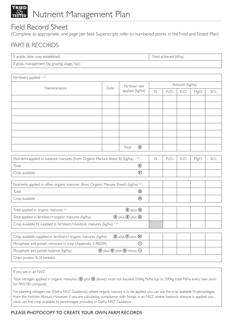

# Field Record Sheet

(Complete as appropriate, one page per field. Superscripts refer to numbered points in theTried andTested Plan)

# PART B: RECORDS

| If arable                    | ' (t/ha).   |
|------------------------------|-------------|
| ible, date crop established: | $\sim$ held |
|                              | achieved    |
| $\overline{\phantom{a}}$     |             |

If grass, management (eg grazing, silage, hay):

| Fertilisers applied 1,23                                                                       |      |                                                             |             |                               |                  |     |                 |
|------------------------------------------------------------------------------------------------|------|-------------------------------------------------------------|-------------|-------------------------------|------------------|-----|-----------------|
| Name/analysis                                                                                  | Date | Fertiliser rate                                             |             |                               | Amount (kg/ha)   |     |                 |
|                                                                                                |      | applied (kg/ha)                                             | $\mathbb N$ | $P_2O_5$                      | K <sub>2</sub> O | MgO | SO <sub>3</sub> |
|                                                                                                |      |                                                             |             |                               |                  |     |                 |
|                                                                                                |      |                                                             |             |                               |                  |     |                 |
|                                                                                                |      |                                                             |             |                               |                  |     |                 |
|                                                                                                |      |                                                             |             |                               |                  |     |                 |
|                                                                                                |      |                                                             |             |                               |                  |     |                 |
|                                                                                                |      |                                                             |             |                               |                  |     |                 |
|                                                                                                |      |                                                             |             |                               |                  |     |                 |
|                                                                                                |      | $^{\circ}$<br>Total                                         |             |                               |                  |     |                 |
| Nutrients applied in livestock manures (from Organic Manure Sheet B) (kg/ha) 1,23:             |      |                                                             | $\mathbb N$ | P <sub>2</sub> O <sub>5</sub> | K <sub>2</sub> O | MgO | SO <sub>3</sub> |
| Total                                                                                          |      | $^{\circledR}$                                              |             |                               |                  |     |                 |
| Crop available                                                                                 |      | $\bigoplus$                                                 |             |                               |                  |     |                 |
|                                                                                                |      |                                                             |             |                               |                  |     |                 |
| Nutrients applied in other organic manures (from Organic Manure Sheet) (kg/ha) <sup>23</sup> : |      |                                                             |             |                               |                  |     |                 |
| Total                                                                                          |      | ◉                                                           |             |                               |                  |     |                 |
| Crop available                                                                                 |      | $\circledR$                                                 |             |                               |                  |     |                 |
| Total applied in organic manures 10                                                            |      | <b><i>C</i></b> plus <b><i>G</i></b>                        |             |                               |                  |     |                 |
| Total applied in fertilisers+organic manures (kg/ha)                                           |      | $\circledD$ plus $\circledB$ plus $\circledB$               |             |                               |                  |     |                 |
| Crop available N supplied in fertilisers+livestock manures (kg/ha) 9,24                        |      |                                                             |             |                               |                  |     |                 |
|                                                                                                |      |                                                             |             |                               |                  |     |                 |
| Crop available supplied in fertilisers+organic manures (kg/ha)                                 |      | $\circled{D}$ plus $\circled{F}$ plus $\circled{H}$         |             |                               |                  |     |                 |
| Phosphate and potash removed in crop (Appendix 5 RB209)                                        |      | $\circ$                                                     |             |                               |                  |     |                 |
| Phosphate and potash balance (kg/ha)                                                           |      | <b>(D)</b> plus $\bigcirc$ plus $\bigcirc$ minus $\bigcirc$ |             |                               |                  |     |                 |
| Grain protein % (if cereals):                                                                  |      |                                                             |             |                               |                  |     |                 |

If you are in an NVZ:

Total nitrogen applied in organic manures ( $\bigcirc$  plus  $\bigcirc$  above) must not exceed 250kg N/ha (up to 500kg total N/ha every two years for PAS100 compost).

For planning nitrogen use (Defra NVZ Guidance), where organic manure is to be applied, you can use the crop available N percentages from the *Fertiliser Manual*. However, if you are calculating compliance with Nmax in an NVZ where livestock manure is applied, you must use the crop available N percentages provided in Defra NVZ Guidance.

## PLEASE PHOTOCOPY TO CREATE YOUR OWN FARM RECORDS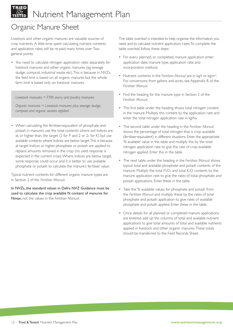# Organic Manure Sheet

Livestock and other organic manures are valuable sources of crop nutrients. A little time spent calculating nutrient contents and application rates will be re-paid many times over. Two general points:

• You need to calculate nitrogen application rates separately for livestock manures and other organic manures (eg sewage sludge, compost, industrial waste etc).This is because in NVZs, the field limit is based on all organic manures but the whole farm limit is based only on livestock manures.

*Livestock manures = FYM, slurry and poultry manures*

*Organic manures = Livestock manures plus sewage sludge, compost and organic wastes applied*

• When calculating the fertiliser-equivalent of phosphate and potash in manures, use the total contents where soil Indices are at, or higher than, the target (2 for P and 2 or 2- for K) but use available contents where Indices are below target.This is because at target Indices or higher, phosphate or potash are applied to replace amounts removed in the crop (no yield response is expected in the current crop).Where Indices are below target, some response could occur and it is better to use available phosphate or potash to calculate the manure's fertiliser value.

Typical nutrient contents for different organic manure types are in Section 2 of the *Fertiliser Manual.*

In NVZs, the standard values in Defra NVZ Guidance must be used to calculate the crop available N content of manures for Nmax; not the values in the *Fertiliser Manual*.

The table overleaf is intended to help organise the information you need and to calculate nutrient application rates.To complete the table overleaf, follow these steps:

- For every planned, or completed, manure application enter: application date; manure type; application rate; and incorporation method.
- Nutrient contents in the *Fertiliser Manual* are in kg/t or kg/m3 . For conversions from gallons and acres, see Appendix 8, of the *Fertiliser Manual*.
- Find the heading for the manure type in Section 2 of the *Fertiliser Manual*.
- The first table under the heading shows total nitrogen content in the manure. Multiply this content by the application rate and enter the total nitrogen application rate in kg/ha.
- The second table under the heading in the *Fertiliser Manual* shows the percentage of total nitrogen that is crop available (fertiliser-equivalent) in different situations. Enter the appropriate '% available' value in the table and multiply this by the total nitrogen application rate to give the rate of crop available nitrogen applied. Enter this in the table.
- The next table under the heading in the *Fertiliser Manual* shows typical total and available phosphate and potash contents of the manure. Multiply the total P<sub>2</sub>O<sub>5</sub> and total K<sub>2</sub>O contents by the manure application rate to give the rates of total phosphate and potash applications. Enter these in the table.
- Take the '% available' values for phosphate and potash from the *Fertiliser Manual* and multiply these by the rates of total phosphate and potash application to give rates of available phosphate and potash applied. Enter these in the table.
- Once details for all planned or completed manure applications are entered, add up the columns of total and available nutrient applications to give total amounts of total and available nutrients applied in livestock and other organic manures.These totals should be transferred to the Field Records Sheet.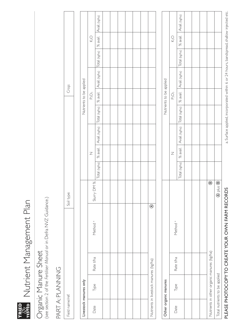

# rata<br>Esta Nutrient Management Plan Nutrient Management Plan

# Organic Manure Sheet

Organic Manure Sheet<br>(see section 2 of the Fertiliser Manual or in Defra NVZ Guidance.) (see section 2 of the *Fertiliser Manual* or in Defra NVZ Guidance.)

# PART A: PLANNING PART A: PLANNING

| Field name/ref: |                                        |           |                     | Soil type:  |                |                                                                                                                                   |                            | Crop: |            |  |
|-----------------|----------------------------------------|-----------|---------------------|-------------|----------------|-----------------------------------------------------------------------------------------------------------------------------------|----------------------------|-------|------------|--|
|                 |                                        |           |                     |             |                |                                                                                                                                   |                            |       |            |  |
|                 | Livestock manures only                 |           |                     |             |                |                                                                                                                                   | Nutrients to be applied    |       |            |  |
| Date            | Type                                   | Rate t/ha | Method <sup>a</sup> | Slurry DM % | $\overline{z}$ |                                                                                                                                   | $\mathsf{P}_2\mathsf{O}_5$ |       | $\lesssim$ |  |
|                 |                                        |           |                     |             |                | Total (kg/ha)   % avail.   Avail. (kg/ha)   Total (kg/ha)   % avail.   Avail. (kg/ha)   [otal (kg/ha)   % avail.   Avail. (kg/ha) |                            |       |            |  |
|                 |                                        |           |                     |             |                |                                                                                                                                   |                            |       |            |  |
|                 |                                        |           |                     |             |                |                                                                                                                                   |                            |       |            |  |
|                 |                                        |           |                     |             |                |                                                                                                                                   |                            |       |            |  |
|                 |                                        |           |                     |             |                |                                                                                                                                   |                            |       |            |  |
|                 |                                        |           |                     |             |                |                                                                                                                                   |                            |       |            |  |
|                 |                                        |           |                     |             |                |                                                                                                                                   |                            |       |            |  |
|                 | Nutrients in livestock manures (kg/ha) |           | $\overline{\circ}$  |             |                |                                                                                                                                   |                            |       |            |  |
|                 |                                        |           |                     |             |                |                                                                                                                                   |                            |       |            |  |

| Other organic manures |                               |                                            |                              |                |  | Nutrients to be applied    |                                                                                                                                   |               |  |
|-----------------------|-------------------------------|--------------------------------------------|------------------------------|----------------|--|----------------------------|-----------------------------------------------------------------------------------------------------------------------------------|---------------|--|
| Date                  | Type                          | Rate t/ha                                  | Method <sup>a</sup>          | $\overline{z}$ |  | $\mathsf{P}_2\mathsf{O}_5$ |                                                                                                                                   | $\frac{1}{2}$ |  |
|                       |                               |                                            |                              |                |  |                            | Total (kg/ha)   % avail.   Avail. (kg/ha)   Total (kg/ha)   % avail.   Avail. (kg/ha)   Total (kg/ha)   % avail.   Avail. (kg/ha) |               |  |
|                       |                               |                                            |                              |                |  |                            |                                                                                                                                   |               |  |
|                       |                               |                                            |                              |                |  |                            |                                                                                                                                   |               |  |
|                       |                               |                                            |                              |                |  |                            |                                                                                                                                   |               |  |
|                       |                               | Nutrients in other organic manures (kg/ha) | $^{\circ}$                   |                |  |                            |                                                                                                                                   |               |  |
|                       | Total nutrients to be applied |                                            | $\circledA$ plus $\circledB$ |                |  |                            |                                                                                                                                   |               |  |
|                       |                               |                                            |                              |                |  |                            |                                                                                                                                   |               |  |

a. Surface applied, incorporated within 6 or 24 hours, bandspread, shallow injected etc. a. Surface applied, incorporated within 6 or 24 hours, bandspread, shallow injected etc.

# PLEASE PHOTOCOPY TO CREATE YOUR OWN FARM RECORDS PLEASE PHOTOCOPY TO CREATE YOUR OWN FARM RECORDS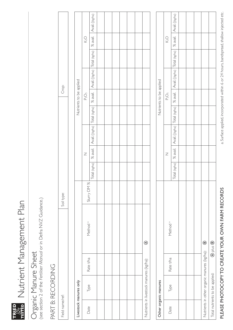rata<br>Esta Nutrient Management Plan Nutrient Management Plan

# Organic Manure Sheet Organic Manure Sheet

(see section 2 of the Fertiliser Manual or in Defra NVZ Guidance.) (see section 2 of the *Fertiliser Manual* or in Defra NVZ Guidance.)

# PART B: RECORDING PART B: RECORDING

| Field name/ref: |                                         |           |                     | Soil type: |               |                |                                                                                    | Crop:                      |                                                                       |                          |  |
|-----------------|-----------------------------------------|-----------|---------------------|------------|---------------|----------------|------------------------------------------------------------------------------------|----------------------------|-----------------------------------------------------------------------|--------------------------|--|
|                 |                                         |           |                     |            |               |                |                                                                                    |                            |                                                                       |                          |  |
|                 | Livestock manures only                  |           |                     |            |               |                |                                                                                    | Nutrients to be applied    |                                                                       |                          |  |
| Date            | Type                                    | Rate t/ha | Method <sup>a</sup> | Slury DM % |               | $\overline{z}$ |                                                                                    | $\mathsf{P}_2\mathsf{O}_5$ |                                                                       | $\bigotimes$             |  |
|                 |                                         |           |                     |            | Total (kg/ha) |                | $\%$ avail. $ \triangle$ vail. $((kg)$ ha) $ \text{Total}$ (kg/ha) $ \text{Total}$ |                            | % avail.   Avail. (Kg/ha)   Total (kg/ha)   % avail.   Avail. (Kg/ha) |                          |  |
|                 |                                         |           |                     |            |               |                |                                                                                    |                            |                                                                       |                          |  |
|                 |                                         |           |                     |            |               |                |                                                                                    |                            |                                                                       |                          |  |
|                 |                                         |           |                     |            |               |                |                                                                                    |                            |                                                                       |                          |  |
|                 |                                         |           |                     |            |               |                |                                                                                    |                            |                                                                       |                          |  |
|                 |                                         |           |                     |            |               |                |                                                                                    |                            |                                                                       |                          |  |
|                 |                                         |           |                     |            |               |                |                                                                                    |                            |                                                                       |                          |  |
|                 | Nutrients in livestock manures (kg/ha): |           | $\odot$             |            |               |                |                                                                                    |                            |                                                                       |                          |  |
|                 |                                         |           |                     |            |               |                |                                                                                    |                            |                                                                       |                          |  |
|                 | Other organic manures                   |           |                     |            |               |                |                                                                                    | Nutrients to be applied    |                                                                       |                          |  |
| Date            | Type                                    | Rate t/ha | Method <sup>a</sup> |            |               | Ζ              |                                                                                    | $\mathsf{P}_2\mathsf{O}_5$ |                                                                       | $\overline{\mathcal{S}}$ |  |

|      | Other organic manures          |                                                                     |                                  |   |                                                                                                                                      | INUTURNE TO DE applied |  |               |  |
|------|--------------------------------|---------------------------------------------------------------------|----------------------------------|---|--------------------------------------------------------------------------------------------------------------------------------------|------------------------|--|---------------|--|
| Date | Type                           | Rate t/ha                                                           | Method <sup>a</sup>              | Z |                                                                                                                                      | $P_2O_5$               |  | $\frac{1}{2}$ |  |
|      |                                |                                                                     |                                  |   | Total (kg/ha)   % avail.   Avail. ((kg/ha)   Total (kg/ha)   % avail.   Avail. ((kg/ha)   Total (kg/ha)   % avail.   Avail. ((kg/ha) |                        |  |               |  |
|      |                                |                                                                     |                                  |   |                                                                                                                                      |                        |  |               |  |
|      |                                |                                                                     |                                  |   |                                                                                                                                      |                        |  |               |  |
|      |                                |                                                                     |                                  |   |                                                                                                                                      |                        |  |               |  |
|      |                                | Nutrients in other organic manures (kg/ha): <sup><sup>9</sup></sup> |                                  |   |                                                                                                                                      |                        |  |               |  |
|      | Total nutrients to be applied: |                                                                     | $\circledast$ plus $\circledast$ |   |                                                                                                                                      |                        |  |               |  |
|      |                                |                                                                     |                                  |   |                                                                                                                                      |                        |  |               |  |

a. Surface applied, incorporated within 6 or 24 hours, bandspread, shallow injected etc. a. Surface applied, incorporated within 6 or 24 hours, bandspread, shallow injected etc.

PLEASE PHOTOCOPY TO CREATE YOUR OWN FARM RECORDS

PLEASE PHOTOCOPY TO CREATE YOUR OWN FARM RECORDS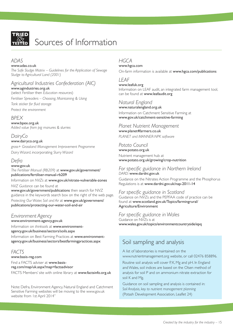

# Sources of Information

### *ADAS*

www.adas.co.uk

*The Safe Sludge Matrix – Guidelines for the Application of Sewage Sludge to Agricultural Land (2001)*

# *Agricultural Industries Confederation (AIC)*

www.agindustries.org.uk (select *Fertiliser* then *Education resources*) *Fertiliser Spreaders – Choosing, Maintaining & Using Tank sticker for fluid storage Protect the environment*

# *BPEX*

www.bpex.org.uk *Added value from pig manures & slurries*

#### *DairyCo* www.dairyco.org.uk

*grass+ Grassland Management Improvement Programme Dairy Wizard*, incorporating *Slurry Wizard*

# *Defra*

#### www.gov.uk

*The Fertiliser Manual (RB209)* at www.gov.uk/government/ publications/fertiliser-manual-rb209

Information on *NVZs* at www.gov.uk/nitrate-vulnerable-zones *NVZ Guidance* can be found at

www.gov.uk/government/publications then search for NVZ guidance in the keywords search box on the right of the web page. *Protecting Our Water, Soil and Air* at www.gov.uk/government/ publications/protecting-our-water-soil-and-air

# *Environment Agency*

www.environment-agency.gov.uk

Information on *thinksoils* at www.environmentagency.gov.uk/business/sectors/soils.aspx

Information on Best Farming Practices at www.environmentagency.gov.uk/business/sectors/bestfarmingpractices.aspx

# *FACTS*

www.basis-reg.com Find a FACTS adviser at www.basisreg.com/map/uk.aspx?map=factsadvisor FACTS Members' site with online library at www.factsinfo.org.uk

Note: Defra, Environment Agency, Natural England and Catchment Sensitive Farming websites will be moving to the www.gov.uk website from 1st April 2014"

# *HGCA*

www.hgca.com On-farm information is available at www.hgca.com/publications

# *LEAF*

www.leafuk.org Information on LEAF audit, an integrated farm management tool, can be found at www.leafaudit.org

# *Natural England*

www.naturalengland.org.uk Information on Catchment Sensitive Farming at www.gov.uk/catchment-sensitive-farming

# *Planet Nutrient Management*

www.planet4farmers.co.uk *PLANET and MANNER-NPK software*

### *Potato Council*

www.potato.org.uk Nutrient management hub at www.potato.org.uk/growing/crop-nutrition

#### *For specific guidance in Northern Ireland DARD:* www.dardni.gov.uk

Guidance on the Nitrates Action Programme and the Phosphorus Regulations is at www.dardni.gov.uk/nap-2011-14

### *For specific guidance in Scotland*

Guidance on NVZs and the PEPFAA code of practice can be found at www.scotland.gov.uk/Topics/farmingrural/ Agriculture/Environment

## *For specific guidance in Wales*

Guidance on NVZs is at www.wales.gov.uk/topics/environmentcountryside/epq

# Soil sampling and analysis

A list of laboratories is maintained on the www.nutrientmanagement.org website, or call 02476 858896.

Routine soil analysis will cover P, K, Mg and pH. In England and Wales, soil indices are based on the Olsen method of analysis for soil P and on ammonium nitrate extraction for soil K and Mg.

Guidance on soil sampling and analysis is contained in: *Soil Analysis, key to nutrient management planning* (Potash Development Association, Leaflet 24)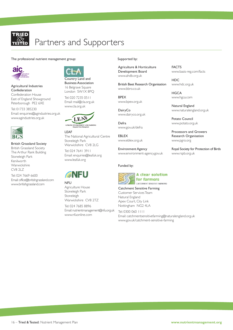

# Partners and Supporters

The professional nutrient management group: Supported by:



Agricultural Industries Confederation Confederation House

East of England Showground Peterborough PE2 6XE

Tel: 01733 385230 Email: enquiries@agindustries.org.uk www.agindustries.org.uk



British Grassland Society British Grassland Society The Arthur Rank Building Stoneleigh Park Kenilworth **Warwickshire** CV8 2LZ

Tel: 024 7669 6600 Email: office@britishgrassland.com www.britishgrassland.com



Business Association 16 Belgrave Square London SW1X 8PQ

Tel: 020 7235 0511 Email: mail@cla.org.uk www.cla.org.uk



LEAF The National Agricultural Centre Stoneleigh Park Warwickshire CV8 2LG Tel: 024 7641 3911 Email: enquiries@leafuk.org



www.leafuk.org

Agriculture House Stoneleigh Park Stoneleigh Warwickshire CV8 2TZ

Tel: 024 7685 8896 Email: nutrientmanagement@nfu.org.uk www.nfuonline.com

Agriculture & Horticulture Development Board www.ahdb.org.uk

British Beet Research Organisation www.bbro.co.uk

BPEX www.bpex.org.uk

**DairyCo** www.dairyco.org.uk

Defra www.gov.uk/defra

EBLEX www.eblex.org.uk

Environment Agency www.environment-agency.gov.uk

Funded by:



Catchment Sensitive Farming Customer ServicesTeam Natural England Apex Court, City Link Nottingham NG2 4LA

Tel: 0300 060 1111 Email: catchmentsensitivefarming@naturalengland.org.uk www.gov.uk/catchment-sensitive-farming

FACTS www.basis-reg.com/facts

HDC www.hdc.org.uk

**HGCA** www.hgca.com

Natural England www.naturalengland.org.uk

Potato Council www.potato.org.uk

Processors and Growers Research Organisation www.pgro.org

Royal Society for Protection of Birds www.rspb.org.uk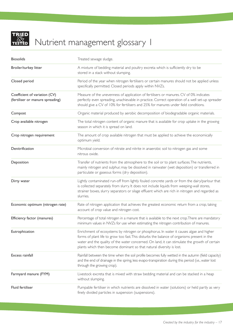

# Nutrient management glossary 1

| <b>Biosolids</b>                                                  | Treated sewage sludge.                                                                                                                                                                                                                                                                                                                                          |
|-------------------------------------------------------------------|-----------------------------------------------------------------------------------------------------------------------------------------------------------------------------------------------------------------------------------------------------------------------------------------------------------------------------------------------------------------|
| Broiler/turkey litter                                             | A mixture of bedding material and poultry excreta which is sufficiently dry to be<br>stored in a stack without slumping.                                                                                                                                                                                                                                        |
| Closed period                                                     | Period of the year when nitrogen fertilisers or certain manures should not be applied unless<br>specifically permitted. Closed periods apply within NVZs.                                                                                                                                                                                                       |
| Coefficient of variation (CV)<br>(fertiliser or manure spreading) | Measure of the unevenness of application of fertilisers or manures. CV of 0% indicates<br>perfectly even spreading, unachievable in practice. Correct operation of a well set-up spreader<br>should give a CV of 10% for fertilisers and 25% for manures under field conditions.                                                                                |
| Compost                                                           | Organic material produced by aerobic decomposition of biodegradable organic materials.                                                                                                                                                                                                                                                                          |
| Crop available nitrogen                                           | The total nitrogen content of organic manure that is available for crop uptake in the growing<br>season in which it is spread on land.                                                                                                                                                                                                                          |
| Crop nitrogen requirement                                         | The amount of crop available nitrogen that must be applied to achieve the economically<br>optimum yield.                                                                                                                                                                                                                                                        |
| Denitrification                                                   | Microbial conversion of nitrate and nitrite in anaerobic soil to nitrogen gas and some<br>nitrous oxide.                                                                                                                                                                                                                                                        |
| Deposition                                                        | Transfer of nutrients from the atmosphere to the soil or to plant surfaces. The nutrients,<br>mainly nitrogen and sulphur, may be dissolved in rainwater (wet deposition) or transferred in<br>particulate or gaseous forms (dry deposition).                                                                                                                   |
| Dirty water                                                       | Lightly contaminated run-off from lightly fouled concrete yards or from the dairy/parlour that<br>is collected separately from slurry. It does not include liquids from weeping-wall stores,<br>strainer boxes, slurry separators or silage effluent which are rich in nitrogen and regarded as<br>slurries.                                                    |
| Economic optimum (nitrogen rate)                                  | Rate of nitrogen application that achieves the greatest economic return from a crop, taking<br>account of crop value and nitrogen cost.                                                                                                                                                                                                                         |
| Efficiency factor (manures)                                       | Percentage of total nitrogen in a manure that is available to the next crop. There are mandatory<br>minimum values in NVZs for use when estimating the nitrogen contribution of manures.                                                                                                                                                                        |
| Eutrophication                                                    | Enrichment of ecosystems by nitrogen or phosphorus. In water it causes algae and higher<br>forms of plant life to grow too fast. This disturbs the balance of organisms present in the<br>water and the quality of the water concerned. On land, it can stimulate the growth of certain<br>plants which then become dominant so that natural diversity is lost. |
| Excess rainfall                                                   | Rainfall between the time when the soil profile becomes fully wetted in the autumn (field capacity)<br>and the end of drainage in the spring, less evapo-transpiration during this period (i.e., water lost<br>through the growing crop).                                                                                                                       |
| Farmyard manure (FYM)                                             | Livestock excreta that is mixed with straw bedding material and can be stacked in a heap<br>without slumping.                                                                                                                                                                                                                                                   |
| Fluid fertiliser                                                  | Pumpable fertiliser in which nutrients are dissolved in water (solutions) or held partly as very<br>finely divided particles in suspension (suspensions).                                                                                                                                                                                                       |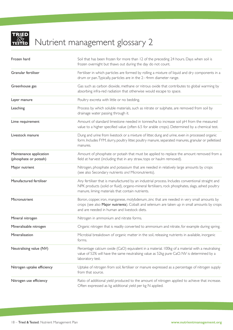

# Nutrient management glossary 2

| Frozen hard                                      | Soil that has been frozen for more than 12 of the preceding 24 hours. Days when soil is<br>frozen overnight but thaws out during the day do not count.                                                                                                   |
|--------------------------------------------------|----------------------------------------------------------------------------------------------------------------------------------------------------------------------------------------------------------------------------------------------------------|
| Granular fertiliser                              | Fertiliser in which particles are formed by rolling a mixture of liquid and dry components in a<br>drum or pan. Typically, particles are in the 2-4mm diameter range.                                                                                    |
| Greenhouse gas                                   | Gas such as carbon dioxide, methane or nitrous oxide that contributes to global warming by<br>absorbing infra-red radiation that otherwise would escape to space.                                                                                        |
| Layer manure                                     | Poultry excreta with little or no bedding.                                                                                                                                                                                                               |
| Leaching                                         | Process by which soluble materials, such as nitrate or sulphate, are removed from soil by<br>drainage water passing through it.                                                                                                                          |
| Lime requirement                                 | Amount of standard limestone needed in tonnes/ha to increase soil pH from the measured<br>value to a higher specified value (often 6.5 for arable crops). Determined by a chemical test.                                                                 |
| Livestock manure                                 | Dung and urine from livestock or a mixture of litter, dung and urine, even in processed organic<br>form. Includes FYM, slurry, poultry litter, poultry manure, separated manures, granular or pelletised<br>manures.                                     |
| Maintenance application<br>(phosphate or potash) | Amount of phosphate or potash that must be applied to replace the amount removed from a<br>field at harvest (including that in any straw, tops or haulm removed).                                                                                        |
| Major nutrient                                   | Nitrogen, phosphate and potassium that are needed in relatively large amounts by crops<br>(see also Secondary nutrients and Micronutrients).                                                                                                             |
| Manufactured fertiliser                          | Any fertiliser that is manufactured by an industrial process. Includes conventional straight and<br>NPK products (solid or fluid), organo-mineral fertilisers, rock phosphates, slags, ashed poultry<br>manure, liming materials that contain nutrients. |
| Micronutrient                                    | Boron, copper, iron, manganese, molybdenum, zinc that are needed in very small amounts by<br>crops (see also Major nutrients). Cobalt and selenium are taken up in small amounts by crops<br>and are needed in human and livestock diets.                |
| Mineral nitrogen                                 | Nitrogen in ammonium and nitrate forms.                                                                                                                                                                                                                  |
| Mineralisable nitrogen                           | Organic nitrogen that is readily converted to ammonium and nitrate, for example during spring.                                                                                                                                                           |
| Mineralisation                                   | Microbial breakdown of organic matter in the soil, releasing nutrients in available, inorganic<br>forms.                                                                                                                                                 |
| Neutralising value (NV)                          | Percentage calcium oxide (CaO) equivalent in a material. 100kg of a material with a neutralising<br>value of 52% will have the same neutralising value as 52kg pure CaO. NV is determined by a<br>laboratory test.                                       |
| Nitrogen uptake efficiency                       | Uptake of nitrogen from soil, fertiliser or manure expressed as a percentage of nitrogen supply<br>from that source.                                                                                                                                     |
| Nitrogen use efficiency                          | Ratio of additional yield produced to the amount of nitrogen applied to achieve that increase.<br>Often expressed as kg additional yield per kg N applied.                                                                                               |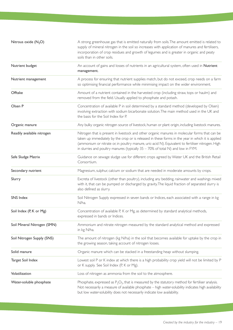| Nitrous oxide $(N_2O)$      | A strong greenhouse gas that is emitted naturally from soils. The amount emitted is related to<br>supply of mineral nitrogen in the soil so increases with application of manures and fertilisers,<br>incorporation of crop residues and growth of legumes and is greater in organic and peaty<br>soils than in other soils.                                                                   |
|-----------------------------|------------------------------------------------------------------------------------------------------------------------------------------------------------------------------------------------------------------------------------------------------------------------------------------------------------------------------------------------------------------------------------------------|
| Nutrient budget             | An account of gains and losses of nutrients in an agricultural system, often used in Nutrient<br>management.                                                                                                                                                                                                                                                                                   |
| Nutrient management         | A process for ensuring that nutrient supplies match, but do not exceed, crop needs on a farm<br>so optimising financial performance while minimising impact on the wider environment.                                                                                                                                                                                                          |
| Offtake                     | Amount of a nutrient contained in the harvested crop (including straw, tops or haulm) and<br>removed from the field. Usually applied to phosphate and potash.                                                                                                                                                                                                                                  |
| Olsen P                     | Concentration of available P in soil determined by a standard method (developed by Olsen)<br>involving extraction with sodium bicarbonate solution. The main method used in the UK and<br>the basis for the Soil Index for P.                                                                                                                                                                  |
| Organic manure              | Any bulky organic nitrogen source of livestock, human or plant origin, including livestock manures.                                                                                                                                                                                                                                                                                            |
| Readily available nitrogen  | Nitrogen that is present in livestock and other organic manures in molecular forms that can be<br>taken up immediately by the crop or is released in these forms in the year in which it is applied<br>(ammonium or nitrate or, in poultry manure, uric-acid N). Equivalent to fertiliser nitrogen. High<br>in slurries and poultry manures (typically $35 - 70\%$ of total N) and low in FYM. |
| Safe Sludge Matrix          | Guidance on sewage sludge use for different crops agreed by Water UK and the British Retail<br>Consortium.                                                                                                                                                                                                                                                                                     |
| Secondary nutrient          | Magnesium, sulphur, calcium or sodium that are needed in moderate amounts by crops.                                                                                                                                                                                                                                                                                                            |
| Slurry                      | Excreta of livestock (other than poultry), including any bedding, rainwater and washings mixed<br>with it, that can be pumped or discharged by gravity. The liquid fraction of separated slurry is<br>also defined as slurry.                                                                                                                                                                  |
| SNS Index                   | Soil Nitrogen Supply expressed in seven bands or Indices, each associated with a range in kg<br>N/ha.                                                                                                                                                                                                                                                                                          |
| Soil Index (P, K or Mg)     | Concentration of available P, K or Mg, as determined by standard analytical methods,<br>expressed in bands or Indices.                                                                                                                                                                                                                                                                         |
| Soil Mineral Nitrogen (SMN) | Ammonium and nitrate nitrogen measured by the standard analytical method and expressed<br>in kg N/ha.                                                                                                                                                                                                                                                                                          |
| Soil Nitrogen Supply (SNS)  | The amount of nitrogen (kg N/ha) in the soil that becomes available for uptake by the crop in<br>the growing season, taking account of nitrogen losses.                                                                                                                                                                                                                                        |
| Solid manure                | Organic manure which can be stacked in a freestanding heap without slumping.                                                                                                                                                                                                                                                                                                                   |
| Target Soil Index           | Lowest soil P or K index at which there is a high probability crop yield will not be limited by P<br>or K supply. See Soil Index (P, K or Mg).                                                                                                                                                                                                                                                 |
| Volatilization              | Loss of nitrogen as ammonia from the soil to the atmosphere.                                                                                                                                                                                                                                                                                                                                   |
| Water-soluble phosphate     | Phosphate, expressed as $P_2O_5$ , that is measured by the statutory method for fertiliser analysis.<br>Not necessarily a measure of available phosphate - high water-solubility indicates high availability<br>but low water-solubility does not necessarily indicate low availability.                                                                                                       |